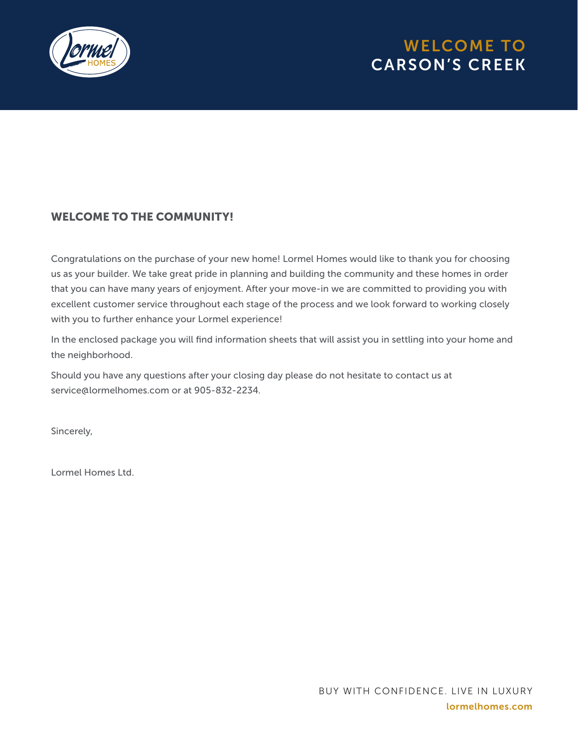

# WELCOME TO CARSON'S CREEK

### WELCOME TO THE COMMUNITY!

Congratulations on the purchase of your new home! Lormel Homes would like to thank you for choosing us as your builder. We take great pride in planning and building the community and these homes in order that you can have many years of enjoyment. After your move-in we are committed to providing you with excellent customer service throughout each stage of the process and we look forward to working closely with you to further enhance your Lormel experience!

In the enclosed package you will find information sheets that will assist you in settling into your home and the neighborhood.

Should you have any questions after your closing day please do not hesitate to contact us at service@lormelhomes.com or at 905-832-2234.

Sincerely,

Lormel Homes Ltd.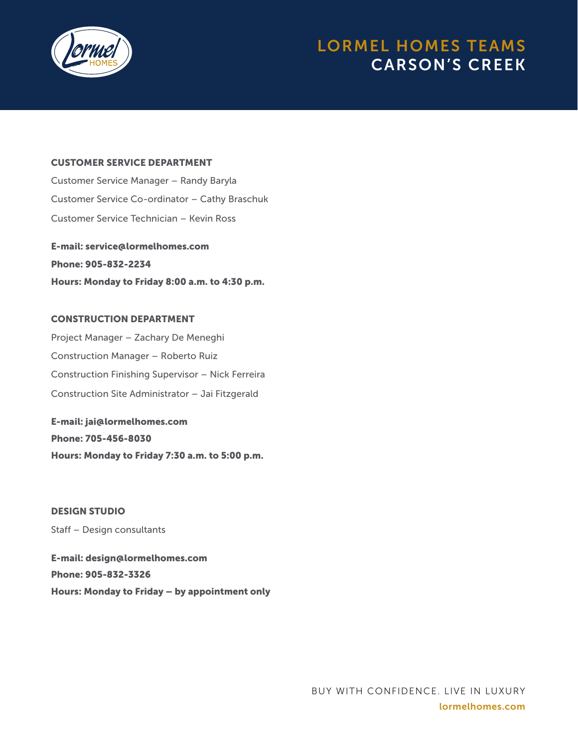

## LORMEL HOMES TEAMS CARSON'S CREEK

#### CUSTOMER SERVICE DEPARTMENT

Customer Service Manager – Randy Baryla Customer Service Co-ordinator – Cathy Braschuk Customer Service Technician – Kevin Ross

E-mail: service@lormelhomes.com Phone: 905-832-2234 Hours: Monday to Friday 8:00 a.m. to 4:30 p.m.

#### CONSTRUCTION DEPARTMENT

Project Manager – Zachary De Meneghi Construction Manager – Roberto Ruiz Construction Finishing Supervisor – Nick Ferreira Construction Site Administrator – Jai Fitzgerald

E-mail: jai@lormelhomes.com Phone: 705-456-8030 Hours: Monday to Friday 7:30 a.m. to 5:00 p.m.

DESIGN STUDIO Staff – Design consultants E-mail: design@lormelhomes.com Phone: 905-832-3326

Hours: Monday to Friday – by appointment only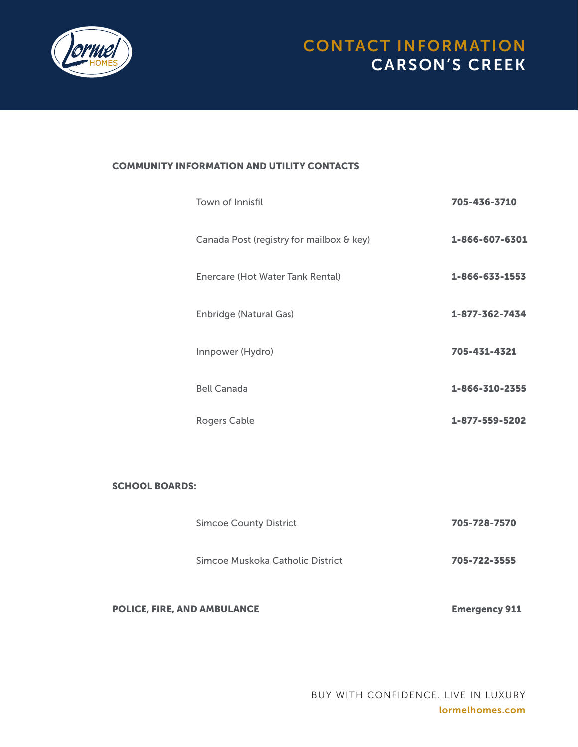

#### COMMUNITY INFORMATION AND UTILITY CONTACTS

| Town of Innisfil                         | 705-436-3710   |
|------------------------------------------|----------------|
| Canada Post (registry for mailbox & key) | 1-866-607-6301 |
| Enercare (Hot Water Tank Rental)         | 1-866-633-1553 |
| <b>Enbridge (Natural Gas)</b>            | 1-877-362-7434 |
| Innpower (Hydro)                         | 705-431-4321   |
| <b>Bell Canada</b>                       | 1-866-310-2355 |
| Rogers Cable                             | 1-877-559-5202 |

#### SCHOOL BOARDS:

| <b>POLICE, FIRE, AND AMBULANCE</b> | <b>Emergency 911</b> |
|------------------------------------|----------------------|
| Simcoe Muskoka Catholic District   | 705-722-3555         |
| <b>Simcoe County District</b>      | 705-728-7570         |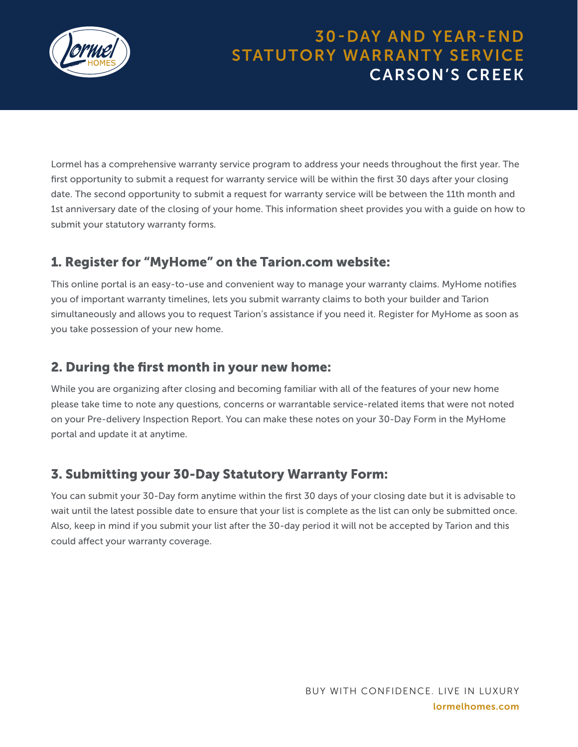

## 30-DAY AND YEAR-END STATUTORY WARRANTY SERVICE CARSON'S CREEK

Lormel has a comprehensive warranty service program to address your needs throughout the first year. The first opportunity to submit a request for warranty service will be within the first 30 days after your closing date. The second opportunity to submit a request for warranty service will be between the 11th month and 1st anniversary date of the closing of your home. This information sheet provides you with a guide on how to submit your statutory warranty forms.

### 1. Register for "MyHome" on the Tarion.com website:

This online portal is an easy-to-use and convenient way to manage your warranty claims. MyHome notifies you of important warranty timelines, lets you submit warranty claims to both your builder and Tarion simultaneously and allows you to request Tarion's assistance if you need it. Register for MyHome as soon as you take possession of your new home.

### 2. During the first month in your new home:

While you are organizing after closing and becoming familiar with all of the features of your new home please take time to note any questions, concerns or warrantable service-related items that were not noted on your Pre-delivery Inspection Report. You can make these notes on your 30-Day Form in the MyHome portal and update it at anytime.

### 3. Submitting your 30-Day Statutory Warranty Form:

You can submit your 30-Day form anytime within the first 30 days of your closing date but it is advisable to wait until the latest possible date to ensure that your list is complete as the list can only be submitted once. Also, keep in mind if you submit your list after the 30-day period it will not be accepted by Tarion and this could affect your warranty coverage.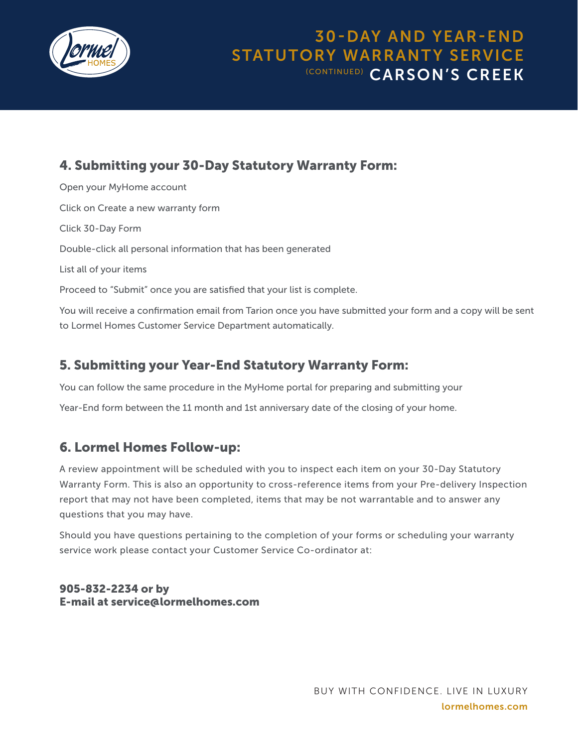

### 30-DAY AND YEAR-END STATUTORY WARRANTY SERVICE (CONTINUED) CARSON'S CREEK

### 4. Submitting your 30-Day Statutory Warranty Form:

Open your MyHome account Click on Create a new warranty form Click 30-Day Form Double-click all personal information that has been generated List all of your items Proceed to "Submit" once you are satisfied that your list is complete. You will receive a confirmation email from Tarion once you have submitted your form and a copy will be sent

to Lormel Homes Customer Service Department automatically.

### 5. Submitting your Year-End Statutory Warranty Form:

You can follow the same procedure in the MyHome portal for preparing and submitting your

Year-End form between the 11 month and 1st anniversary date of the closing of your home.

### 6. Lormel Homes Follow-up:

A review appointment will be scheduled with you to inspect each item on your 30-Day Statutory Warranty Form. This is also an opportunity to cross-reference items from your Pre-delivery Inspection report that may not have been completed, items that may be not warrantable and to answer any questions that you may have.

Should you have questions pertaining to the completion of your forms or scheduling your warranty service work please contact your Customer Service Co-ordinator at:

### 905-832-2234 or by E-mail at service@lormelhomes.com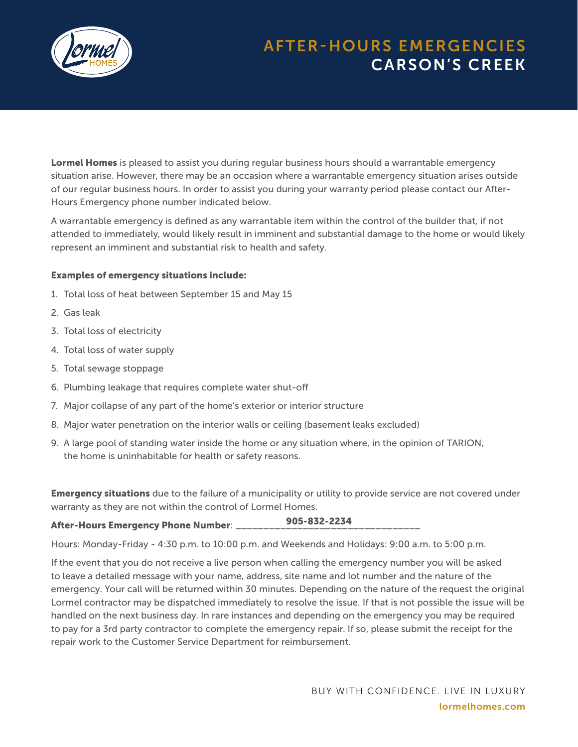

# AFTER-HOURS EMERGENCIES CARSON'S CREEK

Lormel Homes is pleased to assist you during regular business hours should a warrantable emergency situation arise. However, there may be an occasion where a warrantable emergency situation arises outside of our regular business hours. In order to assist you during your warranty period please contact our After-Hours Emergency phone number indicated below.

A warrantable emergency is defined as any warrantable item within the control of the builder that, if not attended to immediately, would likely result in imminent and substantial damage to the home or would likely represent an imminent and substantial risk to health and safety.

#### Examples of emergency situations include:

- 1. Total loss of heat between September 15 and May 15
- 2. Gas leak
- 3. Total loss of electricity
- 4. Total loss of water supply
- 5. Total sewage stoppage
- 6. Plumbing leakage that requires complete water shut-off
- 7. Major collapse of any part of the home's exterior or interior structure
- 8. Major water penetration on the interior walls or ceiling (basement leaks excluded)
- 9. A large pool of standing water inside the home or any situation where, in the opinion of TARION, the home is uninhabitable for health or safety reasons.

**Emergency situations** due to the failure of a municipality or utility to provide service are not covered under warranty as they are not within the control of Lormel Homes.

#### After-Hours Emergency Phone Number: \_ 905-832-2234

Hours: Monday-Friday - 4:30 p.m. to 10:00 p.m. and Weekends and Holidays: 9:00 a.m. to 5:00 p.m.

If the event that you do not receive a live person when calling the emergency number you will be asked to leave a detailed message with your name, address, site name and lot number and the nature of the emergency. Your call will be returned within 30 minutes. Depending on the nature of the request the original Lormel contractor may be dispatched immediately to resolve the issue. If that is not possible the issue will be handled on the next business day. In rare instances and depending on the emergency you may be required to pay for a 3rd party contractor to complete the emergency repair. If so, please submit the receipt for the repair work to the Customer Service Department for reimbursement.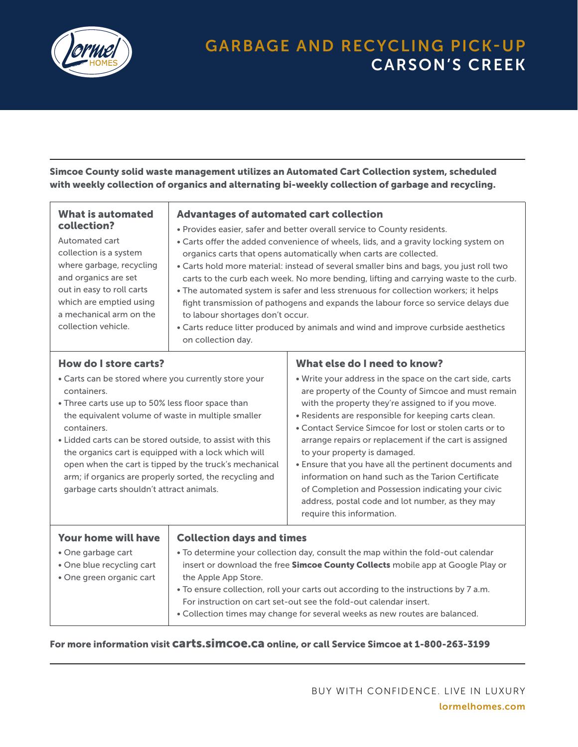

## GARBAGE AND RECYCLING PICK-UP CARSON'S CREEK

Simcoe County solid waste management utilizes an Automated Cart Collection system, scheduled with weekly collection of organics and alternating bi-weekly collection of garbage and recycling.

| What is automated<br>collection?<br>Automated cart<br>collection is a system<br>where garbage, recycling<br>and organics are set<br>out in easy to roll carts<br>which are emptied using<br>a mechanical arm on the<br>collection vehicle. | <b>Advantages of automated cart collection</b><br>to labour shortages don't occur.<br>on collection day. | . Provides easier, safer and better overall service to County residents.<br>• Carts offer the added convenience of wheels, lids, and a gravity locking system on<br>organics carts that opens automatically when carts are collected.<br>• Carts hold more material: instead of several smaller bins and bags, you just roll two<br>carts to the curb each week. No more bending, lifting and carrying waste to the curb.<br>• The automated system is safer and less strenuous for collection workers; it helps<br>fight transmission of pathogens and expands the labour force so service delays due<br>• Carts reduce litter produced by animals and wind and improve curbside aesthetics |
|--------------------------------------------------------------------------------------------------------------------------------------------------------------------------------------------------------------------------------------------|----------------------------------------------------------------------------------------------------------|----------------------------------------------------------------------------------------------------------------------------------------------------------------------------------------------------------------------------------------------------------------------------------------------------------------------------------------------------------------------------------------------------------------------------------------------------------------------------------------------------------------------------------------------------------------------------------------------------------------------------------------------------------------------------------------------|
| How do I store carts?                                                                                                                                                                                                                      |                                                                                                          | What else do I need to know?                                                                                                                                                                                                                                                                                                                                                                                                                                                                                                                                                                                                                                                                 |

#### • Carts can be stored where you currently store your containers.

- Three carts use up to 50% less floor space than the equivalent volume of waste in multiple smaller containers.
- Lidded carts can be stored outside, to assist with this the organics cart is equipped with a lock which will open when the cart is tipped by the truck's mechanical arm; if organics are properly sorted, the recycling and garbage carts shouldn't attract animals.
- Write your address in the space on the cart side, carts are property of the County of Simcoe and must remain with the property they're assigned to if you move.
- Residents are responsible for keeping carts clean.
- Contact Service Simcoe for lost or stolen carts or to arrange repairs or replacement if the cart is assigned to your property is damaged.
- Ensure that you have all the pertinent documents and information on hand such as the Tarion Certificate of Completion and Possession indicating your civic address, postal code and lot number, as they may require this information.

| <b>Collection days and times</b>                                                       |
|----------------------------------------------------------------------------------------|
| • To determine your collection day, consult the map within the fold-out calendar       |
| insert or download the free <b>Simcoe County Collects</b> mobile app at Google Play or |
| the Apple App Store.                                                                   |
| • To ensure collection, roll your carts out according to the instructions by 7 a.m.    |
| For instruction on cart set-out see the fold-out calendar insert.                      |
| • Collection times may change for several weeks as new routes are balanced.            |
|                                                                                        |

### For more information visit carts.simcoe.ca online, or call Service Simcoe at 1-800-263-3199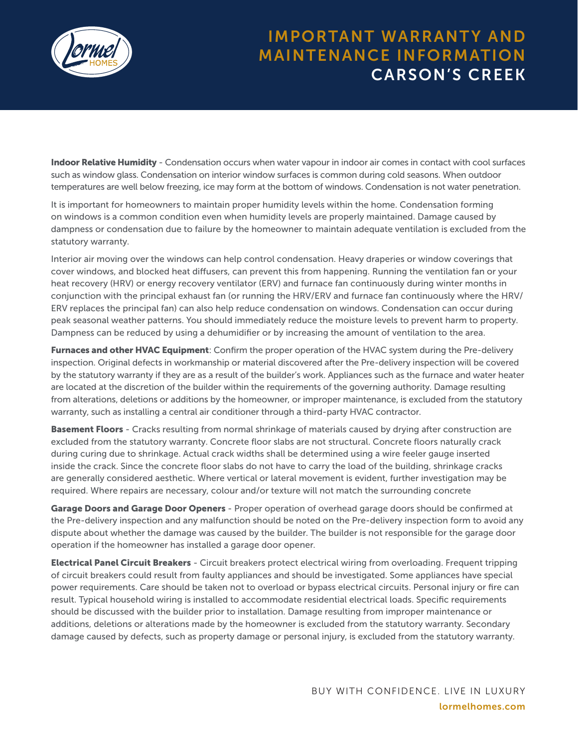

### IMPORTANT WARRANTY AND MAINTENANCE INFORMATION CARSON'S CREEK

Indoor Relative Humidity - Condensation occurs when water vapour in indoor air comes in contact with cool surfaces such as window glass. Condensation on interior window surfaces is common during cold seasons. When outdoor temperatures are well below freezing, ice may form at the bottom of windows. Condensation is not water penetration.

It is important for homeowners to maintain proper humidity levels within the home. Condensation forming on windows is a common condition even when humidity levels are properly maintained. Damage caused by dampness or condensation due to failure by the homeowner to maintain adequate ventilation is excluded from the statutory warranty.

Interior air moving over the windows can help control condensation. Heavy draperies or window coverings that cover windows, and blocked heat diffusers, can prevent this from happening. Running the ventilation fan or your heat recovery (HRV) or energy recovery ventilator (ERV) and furnace fan continuously during winter months in conjunction with the principal exhaust fan (or running the HRV/ERV and furnace fan continuously where the HRV/ ERV replaces the principal fan) can also help reduce condensation on windows. Condensation can occur during peak seasonal weather patterns. You should immediately reduce the moisture levels to prevent harm to property. Dampness can be reduced by using a dehumidifier or by increasing the amount of ventilation to the area.

**Furnaces and other HVAC Equipment**: Confirm the proper operation of the HVAC system during the Pre-delivery inspection. Original defects in workmanship or material discovered after the Pre-delivery inspection will be covered by the statutory warranty if they are as a result of the builder's work. Appliances such as the furnace and water heater are located at the discretion of the builder within the requirements of the governing authority. Damage resulting from alterations, deletions or additions by the homeowner, or improper maintenance, is excluded from the statutory warranty, such as installing a central air conditioner through a third-party HVAC contractor.

**Basement Floors** - Cracks resulting from normal shrinkage of materials caused by drying after construction are excluded from the statutory warranty. Concrete floor slabs are not structural. Concrete floors naturally crack during curing due to shrinkage. Actual crack widths shall be determined using a wire feeler gauge inserted inside the crack. Since the concrete floor slabs do not have to carry the load of the building, shrinkage cracks are generally considered aesthetic. Where vertical or lateral movement is evident, further investigation may be required. Where repairs are necessary, colour and/or texture will not match the surrounding concrete

Garage Doors and Garage Door Openers - Proper operation of overhead garage doors should be confirmed at the Pre-delivery inspection and any malfunction should be noted on the Pre-delivery inspection form to avoid any dispute about whether the damage was caused by the builder. The builder is not responsible for the garage door operation if the homeowner has installed a garage door opener.

**Electrical Panel Circuit Breakers** - Circuit breakers protect electrical wiring from overloading. Frequent tripping of circuit breakers could result from faulty appliances and should be investigated. Some appliances have special power requirements. Care should be taken not to overload or bypass electrical circuits. Personal injury or fire can result. Typical household wiring is installed to accommodate residential electrical loads. Specific requirements should be discussed with the builder prior to installation. Damage resulting from improper maintenance or additions, deletions or alterations made by the homeowner is excluded from the statutory warranty. Secondary damage caused by defects, such as property damage or personal injury, is excluded from the statutory warranty.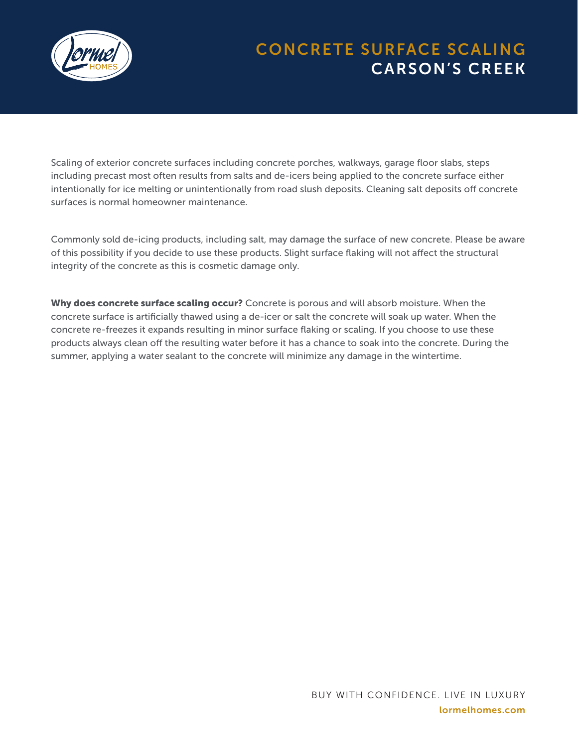

# CONCRETE SURFACE SCALING CARSON'S CREEK

Scaling of exterior concrete surfaces including concrete porches, walkways, garage floor slabs, steps including precast most often results from salts and de-icers being applied to the concrete surface either intentionally for ice melting or unintentionally from road slush deposits. Cleaning salt deposits off concrete surfaces is normal homeowner maintenance.

Commonly sold de-icing products, including salt, may damage the surface of new concrete. Please be aware of this possibility if you decide to use these products. Slight surface flaking will not affect the structural integrity of the concrete as this is cosmetic damage only.

Why does concrete surface scaling occur? Concrete is porous and will absorb moisture. When the concrete surface is artificially thawed using a de-icer or salt the concrete will soak up water. When the concrete re-freezes it expands resulting in minor surface flaking or scaling. If you choose to use these products always clean off the resulting water before it has a chance to soak into the concrete. During the summer, applying a water sealant to the concrete will minimize any damage in the wintertime.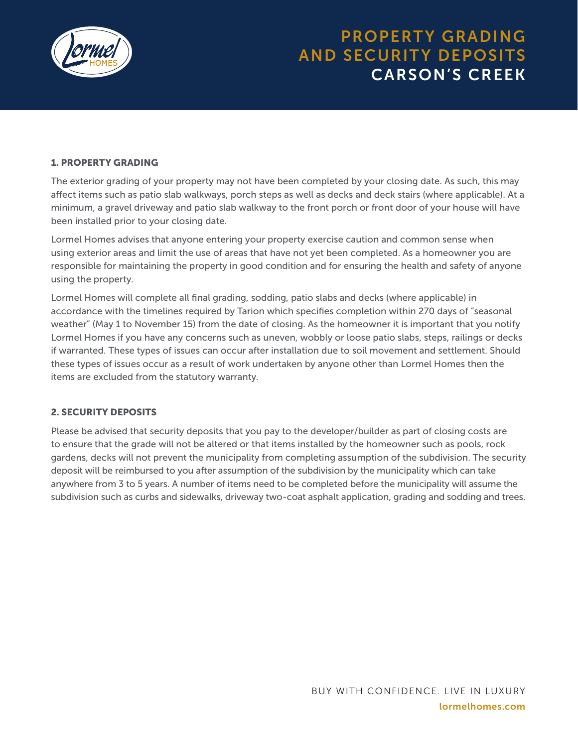

## PROPERTY GRADING AND SECURITY DEPOSITS CARSON'S CREEK

#### 1. PROPERTY GRADING

The exterior grading of your property may not have been completed by your closing date. As such, this may affect items such as patio slab walkways, porch steps as well as decks and deck stairs (where applicable). At a minimum, a gravel driveway and patio slab walkway to the front porch or front door of your house will have been installed prior to your closing date.

Lormel Homes advises that anyone entering your property exercise caution and common sense when using exterior areas and limit the use of areas that have not yet been completed. As a homeowner you are responsible for maintaining the property in good condition and for ensuring the health and safety of anyone using the property.

Lormel Homes will complete all final grading, sodding, patio slabs and decks (where applicable) in accordance with the timelines required by Tarion which specifies completion within 270 days of "seasonal weather" (May 1 to November 15) from the date of closing. As the homeowner it is important that you notify Lormel Homes if you have any concerns such as uneven, wobbly or loose patio slabs, steps, railings or decks if warranted. These types of issues can occur after installation due to soil movement and settlement. Should these types of issues occur as a result of work undertaken by anyone other than Lormel Homes then the items are excluded from the statutory warranty.

#### 2. SECURITY DEPOSITS

Please be advised that security deposits that you pay to the developer/builder as part of closing costs are to ensure that the grade will not be altered or that items installed by the homeowner such as pools, rock gardens, decks will not prevent the municipality from completing assumption of the subdivision. The security deposit will be reimbursed to you after assumption of the subdivision by the municipality which can take anywhere from 3 to 5 years. A number of items need to be completed before the municipality will assume the subdivision such as curbs and sidewalks, driveway two-coat asphalt application, grading and sodding and trees.